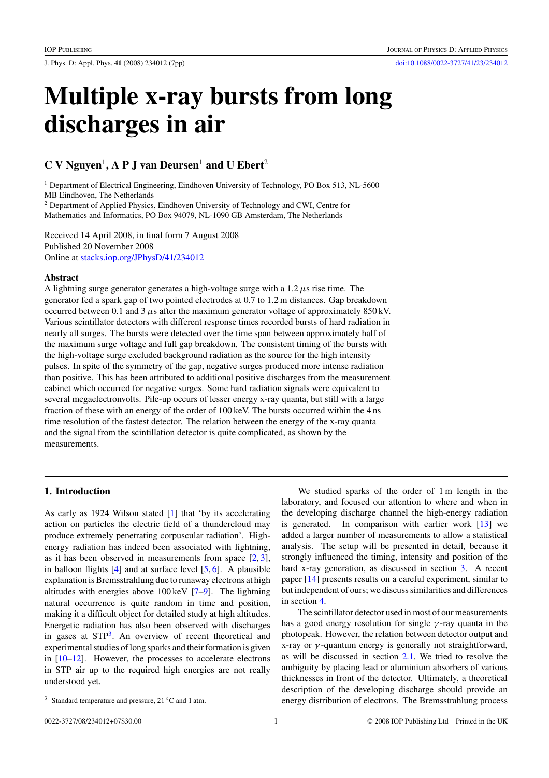J. Phys. D: Appl. Phys. **41** (2008) 234012 (7pp) [doi:10.1088/0022-3727/41/23/234012](http://dx.doi.org/10.1088/0022-3727/41/23/234012)

# **Multiple x-ray bursts from long discharges in air**

## $C$  V Nguyen<sup>1</sup>, A P J van Deursen<sup>1</sup> and U Ebert<sup>2</sup>

<sup>1</sup> Department of Electrical Engineering, Eindhoven University of Technology, PO Box 513, NL-5600 MB Eindhoven, The Netherlands

<sup>2</sup> Department of Applied Physics, Eindhoven University of Technology and CWI, Centre for Mathematics and Informatics, PO Box 94079, NL-1090 GB Amsterdam, The Netherlands

Received 14 April 2008, in final form 7 August 2008 Published 20 November 2008 Online at [stacks.iop.org/JPhysD/41/234012](http://stacks.iop.org/JPhysD/41/234012)

## **Abstract**

A lightning surge generator generates a high-voltage surge with a 1.2*µ*s rise time. The generator fed a spark gap of two pointed electrodes at 0.7 to 1.2 m distances. Gap breakdown occurred between 0.1 and 3*µ*s after the maximum generator voltage of approximately 850 kV. Various scintillator detectors with different response times recorded bursts of hard radiation in nearly all surges. The bursts were detected over the time span between approximately half of the maximum surge voltage and full gap breakdown. The consistent timing of the bursts with the high-voltage surge excluded background radiation as the source for the high intensity pulses. In spite of the symmetry of the gap, negative surges produced more intense radiation than positive. This has been attributed to additional positive discharges from the measurement cabinet which occurred for negative surges. Some hard radiation signals were equivalent to several megaelectronvolts. Pile-up occurs of lesser energy x-ray quanta, but still with a large fraction of these with an energy of the order of 100 keV. The bursts occurred within the 4 ns time resolution of the fastest detector. The relation between the energy of the x-ray quanta and the signal from the scintillation detector is quite complicated, as shown by the measurements.

## **1. Introduction**

As early as 1924 Wilson stated [\[1\]](#page-5-0) that 'by its accelerating action on particles the electric field of a thundercloud may produce extremely penetrating corpuscular radiation'. Highenergy radiation has indeed been associated with lightning, as it has been observed in measurements from space [\[2,](#page-5-0) [3\]](#page-5-0), in balloon flights  $[4]$  and at surface level  $[5, 6]$  $[5, 6]$  $[5, 6]$ . A plausible explanation is Bremsstrahlung due to runaway electrons at high altitudes with energies above 100 keV [\[7–9\]](#page-6-0). The lightning natural occurrence is quite random in time and position, making it a difficult object for detailed study at high altitudes. Energetic radiation has also been observed with discharges in gases at STP<sup>3</sup>. An overview of recent theoretical and experimental studies of long sparks and their formation is given in [\[10–12\]](#page-6-0). However, the processes to accelerate electrons in STP air up to the required high energies are not really understood yet.

We studied sparks of the order of 1 m length in the laboratory, and focused our attention to where and when in the developing discharge channel the high-energy radiation is generated. In comparison with earlier work  $[13]$  we added a larger number of measurements to allow a statistical analysis. The setup will be presented in detail, because it strongly influenced the timing, intensity and position of the hard x-ray generation, as discussed in section [3.](#page-2-0) A recent paper [\[14\]](#page-6-0) presents results on a careful experiment, similar to but independent of ours; we discuss similarities and differences in section [4.](#page-5-0)

The scintillator detector used in most of our measurements has a good energy resolution for single *γ* -ray quanta in the photopeak. However, the relation between detector output and x-ray or *γ* -quantum energy is generally not straightforward, as will be discussed in section [2.1.](#page-1-0) We tried to resolve the ambiguity by placing lead or aluminium absorbers of various thicknesses in front of the detector. Ultimately, a theoretical description of the developing discharge should provide an energy distribution of electrons. The Bremsstrahlung process

 $3$  Standard temperature and pressure, 21 °C and 1 atm.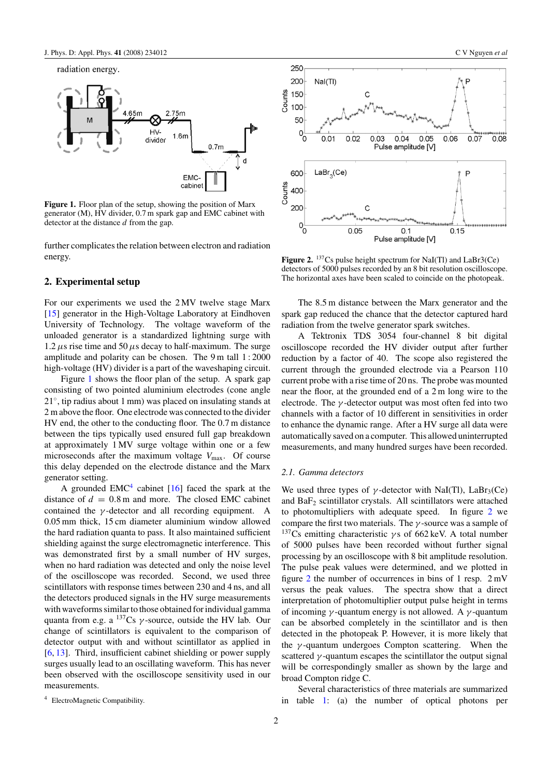<span id="page-1-0"></span>

**Figure 1.** Floor plan of the setup, showing the position of Marx generator (M), HV divider, 0.7 m spark gap and EMC cabinet with detector at the distance *d* from the gap.

further complicates the relation between electron and radiation energy.

## **2. Experimental setup**

For our experiments we used the 2 MV twelve stage Marx [\[15\]](#page-6-0) generator in the High-Voltage Laboratory at Eindhoven University of Technology. The voltage waveform of the unloaded generator is a standardized lightning surge with 1.2  $\mu$ s rise time and 50  $\mu$ s decay to half-maximum. The surge amplitude and polarity can be chosen. The 9 m tall 1 : 2000 high-voltage (HV) divider is a part of the waveshaping circuit.

Figure 1 shows the floor plan of the setup. A spark gap consisting of two pointed aluminium electrodes (cone angle 21◦, tip radius about 1 mm) was placed on insulating stands at 2 m above the floor. One electrode was connected to the divider HV end, the other to the conducting floor. The 0.7 m distance between the tips typically used ensured full gap breakdown at approximately 1 MV surge voltage within one or a few microseconds after the maximum voltage  $V_{\text{max}}$ . Of course this delay depended on the electrode distance and the Marx generator setting.

A grounded  $EMC<sup>4</sup>$  cabinet [\[16\]](#page-6-0) faced the spark at the distance of  $d = 0.8$  m and more. The closed EMC cabinet contained the  $\nu$ -detector and all recording equipment. A contained the  $\gamma$ -detector and all recording equipment. 0.05 mm thick, 15 cm diameter aluminium window allowed the hard radiation quanta to pass. It also maintained sufficient shielding against the surge electromagnetic interference. This was demonstrated first by a small number of HV surges, when no hard radiation was detected and only the noise level of the oscilloscope was recorded. Second, we used three scintillators with response times between 230 and 4 ns, and all the detectors produced signals in the HV surge measurements with waveforms similar to those obtained for individual gamma quanta from e.g. a 137Cs *γ* -source, outside the HV lab. Our change of scintillators is equivalent to the comparison of detector output with and without scintillator as applied in [\[6,](#page-6-0) [13\]](#page-6-0). Third, insufficient cabinet shielding or power supply surges usually lead to an oscillating waveform. This has never been observed with the oscilloscope sensitivity used in our measurements.



**Figure 2.** <sup>137</sup>Cs pulse height spectrum for NaI(Tl) and LaBr3(Ce) detectors of 5000 pulses recorded by an 8 bit resolution oscilloscope. The horizontal axes have been scaled to coincide on the photopeak.

The 8.5 m distance between the Marx generator and the spark gap reduced the chance that the detector captured hard radiation from the twelve generator spark switches.

A Tektronix TDS 3054 four-channel 8 bit digital oscilloscope recorded the HV divider output after further reduction by a factor of 40. The scope also registered the current through the grounded electrode via a Pearson 110 current probe with a rise time of 20 ns. The probe was mounted near the floor, at the grounded end of a 2 m long wire to the electrode. The *γ* -detector output was most often fed into two channels with a factor of 10 different in sensitivities in order to enhance the dynamic range. After a HV surge all data were automatically saved on a computer. This allowed uninterrupted measurements, and many hundred surges have been recorded.

## *2.1. Gamma detectors*

We used three types of  $\gamma$ -detector with NaI(Tl), LaBr<sub>3</sub>(Ce) and  $BaF<sub>2</sub>$  scintillator crystals. All scintillators were attached to photomultipliers with adequate speed. In figure 2 we compare the first two materials. The *γ* -source was a sample of 137Cs emitting characteristic *γ* s of 662 keV. A total number of 5000 pulses have been recorded without further signal processing by an oscilloscope with 8 bit amplitude resolution. The pulse peak values were determined, and we plotted in figure 2 the number of occurrences in bins of 1 resp. 2 mV versus the peak values. The spectra show that a direct interpretation of photomultiplier output pulse height in terms of incoming *γ* -quantum energy is not allowed. A *γ* -quantum can be absorbed completely in the scintillator and is then detected in the photopeak P. However, it is more likely that the *γ* -quantum undergoes Compton scattering. When the scattered  $\gamma$ -quantum escapes the scintillator the output signal will be correspondingly smaller as shown by the large and broad Compton ridge C.

<sup>4</sup> ElectroMagnetic Compatibility.

Several characteristics of three materials are summarized in table [1:](#page-2-0) (a) the number of optical photons per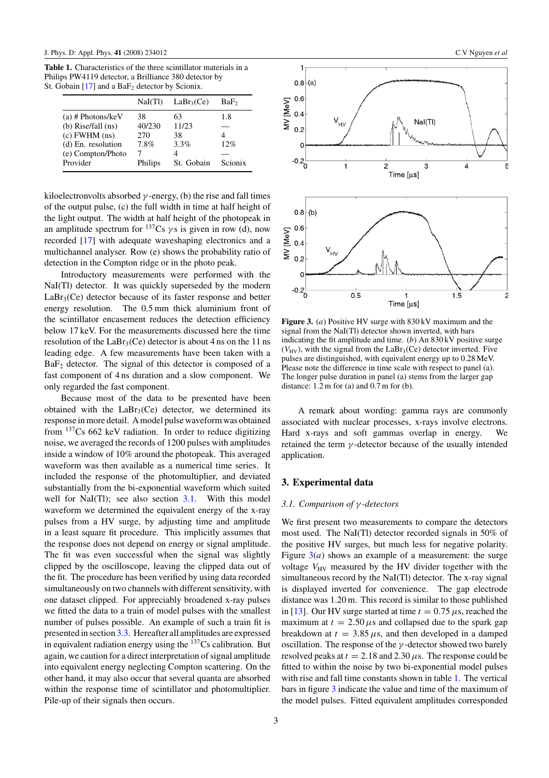<span id="page-2-0"></span>**Table 1.** Characteristics of the three scintillator materials in a Philips PW4119 detector, a Brilliance 380 detector by St. Gobain  $[17]$  and a BaF<sub>2</sub> detector by Scionix.

|                        | NaI(Tl) | LaBr <sub>3</sub> (Ce) | BaF,    |
|------------------------|---------|------------------------|---------|
| $(a)$ # Photons/keV    | 38      | 63                     | 1.8     |
| $(b)$ Rise/fall $(ns)$ | 40/230  | 11/23                  |         |
| $(c)$ FWHM $(ns)$      | 270     | 38                     |         |
| (d) En. resolution     | 7.8%    | 3.3%                   | 12%     |
| (e) Compton/Photo      |         | 4                      |         |
| Provider               | Philips | St. Gobain             | Scionix |

kiloelectronvolts absorbed  $\gamma$ -energy, (b) the rise and fall times of the output pulse, (c) the full width in time at half height of the light output. The width at half height of the photopeak in an amplitude spectrum for  $^{137}Cs$  *γ* s is given in row (d), now recorded [\[17\]](#page-6-0) with adequate waveshaping electronics and a multichannel analyser. Row (e) shows the probability ratio of detection in the Compton ridge or in the photo peak.

Introductory measurements were performed with the NaI(Tl) detector. It was quickly superseded by the modern  $LaBr<sub>3</sub>(Ce)$  detector because of its faster response and better energy resolution. The 0.5 mm thick aluminium front of the scintillator encasement reduces the detection efficiency below 17 keV. For the measurements discussed here the time resolution of the LaBr<sub>3</sub>(Ce) detector is about 4 ns on the 11 ns leading edge. A few measurements have been taken with a BaF2 detector. The signal of this detector is composed of a fast component of 4 ns duration and a slow component. We only regarded the fast component.

Because most of the data to be presented have been obtained with the  $LaBr<sub>3</sub>(Ce)$  detector, we determined its response in more detail. A model pulse waveform was obtained from 137Cs 662 keV radiation. In order to reduce digitizing noise, we averaged the records of 1200 pulses with amplitudes inside a window of 10% around the photopeak. This averaged waveform was then available as a numerical time series. It included the response of the photomultiplier, and deviated substantially from the bi-exponential waveform which suited well for NaI $(Tl)$ ; see also section 3.1. With this model waveform we determined the equivalent energy of the x-ray pulses from a HV surge, by adjusting time and amplitude in a least square fit procedure. This implicitly assumes that the response does not depend on energy or signal amplitude. The fit was even successful when the signal was slightly clipped by the oscilloscope, leaving the clipped data out of the fit. The procedure has been verified by using data recorded simultaneously on two channels with different sensitivity, with one dataset clipped. For appreciably broadened x-ray pulses we fitted the data to a train of model pulses with the smallest number of pulses possible. An example of such a train fit is presented in section [3.3.](#page-3-0) Hereafter all amplitudes are expressed in equivalent radiation energy using the  $137Cs$  calibration. But again, we caution for a direct interpretation of signal amplitude into equivalent energy neglecting Compton scattering. On the other hand, it may also occur that several quanta are absorbed within the response time of scintillator and photomultiplier. Pile-up of their signals then occurs.



**Figure 3.** (*a*) Positive HV surge with 830 kV maximum and the signal from the NaI(Tl) detector shown inverted, with bars indicating the fit amplitude and time. (*b*) An 830 kV positive surge  $(V_{\text{HV}})$ , with the signal from the LaBr<sub>3</sub>(Ce) detector inverted. Five pulses are distinguished, with equivalent energy up to 0.28 MeV. Please note the difference in time scale with respect to panel (a). The longer pulse duration in panel (a) stems from the larger gap distance:  $1.2 \text{ m}$  for (a) and  $0.7 \text{ m}$  for (b).

A remark about wording: gamma rays are commonly associated with nuclear processes, x-rays involve electrons. Hard x-rays and soft gammas overlap in energy. We retained the term *γ* -detector because of the usually intended application.

## **3. Experimental data**

## *3.1. Comparison of γ -detectors*

We first present two measurements to compare the detectors most used. The NaI(Tl) detector recorded signals in 50% of the positive HV surges, but much less for negative polarity. Figure  $3(a)$  shows an example of a measurement: the surge voltage  $V_{\text{HV}}$  measured by the HV divider together with the simultaneous record by the NaI(Tl) detector. The x-ray signal is displayed inverted for convenience. The gap electrode distance was 1.20 m. This record is similar to those published in [\[13\]](#page-6-0). Our HV surge started at time  $t = 0.75 \mu s$ , reached the maximum at  $t = 2.50 \,\mu s$  and collapsed due to the spark gap breakdown at  $t = 3.85 \,\mu s$ , and then developed in a damped oscillation. The response of the *γ* -detector showed two barely resolved peaks at  $t = 2.18$  and  $2.30 \mu s$ . The response could be fitted to within the noise by two bi-exponential model pulses with rise and fall time constants shown in table 1. The vertical bars in figure 3 indicate the value and time of the maximum of the model pulses. Fitted equivalent amplitudes corresponded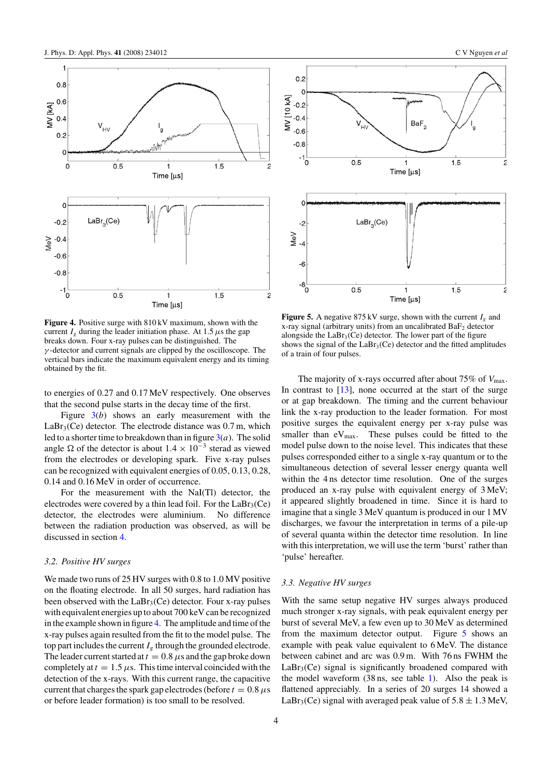<span id="page-3-0"></span>

**Figure 4.** Positive surge with 810 kV maximum, shown with the current  $I_g$  during the leader initiation phase. At 1.5  $\mu$ s the gap breaks down. Four x-ray pulses can be distinguished. The *γ* -detector and current signals are clipped by the oscilloscope. The vertical bars indicate the maximum equivalent energy and its timing obtained by the fit.

to energies of 0.27 and 0.17 MeV respectively. One observes that the second pulse starts in the decay time of the first.

Figure [3\(](#page-2-0)*b*) shows an early measurement with the  $LaBr<sub>3</sub>(Ce)$  detector. The electrode distance was  $0.7$  m, which led to a shorter time to breakdown than in figure  $3(a)$  $3(a)$ . The solid angle  $\Omega$  of the detector is about  $1.4 \times 10^{-3}$  sterad as viewed from the electrodes or developing spark. Five x-ray pulses can be recognized with equivalent energies of 0.05, 0.13, 0.28, 0.14 and 0.16 MeV in order of occurrence.

For the measurement with the NaI(Tl) detector, the electrodes were covered by a thin lead foil. For the  $LaBr<sub>3</sub>(Ce)$ detector, the electrodes were aluminium. No difference between the radiation production was observed, as will be discussed in section [4.](#page-5-0)

#### *3.2. Positive HV surges*

We made two runs of 25 HV surges with 0.8 to 1.0 MV positive on the floating electrode. In all 50 surges, hard radiation has been observed with the  $LaBr<sub>3</sub>(Ce)$  detector. Four x-ray pulses with equivalent energies up to about 700 keV can be recognized in the example shown in figure 4. The amplitude and time of the x-ray pulses again resulted from the fit to the model pulse. The top part includes the current  $I_g$  through the grounded electrode. The leader current started at  $t = 0.8 \mu s$  and the gap broke down completely at  $t = 1.5 \mu s$ . This time interval coincided with the detection of the x-rays. With this current range, the capacitive current that charges the spark gap electrodes (before  $t = 0.8 \,\mu s$ ) or before leader formation) is too small to be resolved.



**Figure 5.** A negative  $875 \text{ kV}$  surge, shown with the current  $I<sub>g</sub>$  and x-ray signal (arbitrary units) from an uncalibrated  $BaF<sub>2</sub>$  detector alongside the  $LaBr<sub>3</sub>(Ce)$  detector. The lower part of the figure shows the signal of the  $LaBr<sub>3</sub>(Ce)$  detector and the fitted amplitudes of a train of four pulses.

The majority of x-rays occurred after about 75% of  $V_{\text{max}}$ . In contrast to  $[13]$ , none occurred at the start of the surge or at gap breakdown. The timing and the current behaviour link the x-ray production to the leader formation. For most positive surges the equivalent energy per x-ray pulse was smaller than  $eV_{\text{max}}$ . These pulses could be fitted to the model pulse down to the noise level. This indicates that these pulses corresponded either to a single x-ray quantum or to the simultaneous detection of several lesser energy quanta well within the 4 ns detector time resolution. One of the surges produced an x-ray pulse with equivalent energy of 3 MeV; it appeared slightly broadened in time. Since it is hard to imagine that a single 3 MeV quantum is produced in our 1 MV discharges, we favour the interpretation in terms of a pile-up of several quanta within the detector time resolution. In line with this interpretation, we will use the term 'burst' rather than 'pulse' hereafter.

## *3.3. Negative HV surges*

With the same setup negative HV surges always produced much stronger x-ray signals, with peak equivalent energy per burst of several MeV, a few even up to 30 MeV as determined from the maximum detector output. Figure 5 shows an example with peak value equivalent to 6 MeV. The distance between cabinet and arc was 0.9 m. With 76 ns FWHM the  $LaBr<sub>3</sub>(Ce)$  signal is significantly broadened compared with the model waveform (38 ns, see table [1\)](#page-2-0). Also the peak is flattened appreciably. In a series of 20 surges 14 showed a LaBr<sub>3</sub>(Ce) signal with averaged peak value of  $5.8 \pm 1.3$  MeV,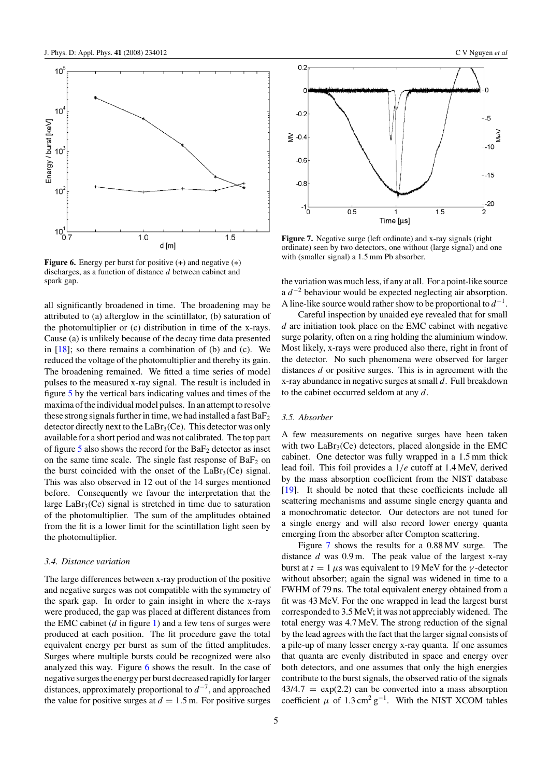<span id="page-4-0"></span>

**Figure 6.** Energy per burst for positive (+) and negative (∗) discharges, as a function of distance *d* between cabinet and spark gap.

all significantly broadened in time. The broadening may be attributed to (a) afterglow in the scintillator, (b) saturation of the photomultiplier or (c) distribution in time of the x-rays. Cause (a) is unlikely because of the decay time data presented in  $[18]$ ; so there remains a combination of (b) and (c). We reduced the voltage of the photomultiplier and thereby its gain. The broadening remained. We fitted a time series of model pulses to the measured x-ray signal. The result is included in figure [5](#page-3-0) by the vertical bars indicating values and times of the maxima of the individual model pulses. In an attempt to resolve these strong signals further in time, we had installed a fast  $BaF<sub>2</sub>$ detector directly next to the  $LaBr<sub>3</sub>(Ce)$ . This detector was only available for a short period and was not calibrated. The top part of figure  $\overline{5}$  $\overline{5}$  $\overline{5}$  also shows the record for the BaF<sub>2</sub> detector as inset on the same time scale. The single fast response of  $BaF<sub>2</sub>$  on the burst coincided with the onset of the  $LaBr<sub>3</sub>(Ce)$  signal. This was also observed in 12 out of the 14 surges mentioned before. Consequently we favour the interpretation that the large  $LaBr<sub>3</sub>(Ce)$  signal is stretched in time due to saturation of the photomultiplier. The sum of the amplitudes obtained from the fit is a lower limit for the scintillation light seen by the photomultiplier.

#### *3.4. Distance variation*

The large differences between x-ray production of the positive and negative surges was not compatible with the symmetry of the spark gap. In order to gain insight in where the x-rays were produced, the gap was placed at different distances from the EMC cabinet  $(d \text{ in figure 1})$  and a few tens of surges were produced at each position. The fit procedure gave the total equivalent energy per burst as sum of the fitted amplitudes. Surges where multiple bursts could be recognized were also analyzed this way. Figure 6 shows the result. In the case of negative surges the energy per burst decreased rapidly for larger distances, approximately proportional to *d*−7, and approached the value for positive surges at  $d = 1.5$  m. For positive surges



**Figure 7.** Negative surge (left ordinate) and x-ray signals (right ordinate) seen by two detectors, one without (large signal) and one with (smaller signal) a 1.5 mm Pb absorber.

the variation was much less, if any at all. For a point-like source a *d*−<sup>2</sup> behaviour would be expected neglecting air absorption. A line-like source would rather show to be proportional to *d*−1.

Careful inspection by unaided eye revealed that for small *d* arc initiation took place on the EMC cabinet with negative surge polarity, often on a ring holding the aluminium window. Most likely, x-rays were produced also there, right in front of the detector. No such phenomena were observed for larger distances *d* or positive surges. This is in agreement with the x-ray abundance in negative surges at small *d*. Full breakdown to the cabinet occurred seldom at any *d*.

#### *3.5. Absorber*

A few measurements on negative surges have been taken with two  $LaBr<sub>3</sub>(Ce)$  detectors, placed alongside in the EMC cabinet. One detector was fully wrapped in a 1.5 mm thick lead foil. This foil provides a 1*/e* cutoff at 1.4 MeV, derived by the mass absorption coefficient from the NIST database [\[19\]](#page-6-0). It should be noted that these coefficients include all scattering mechanisms and assume single energy quanta and a monochromatic detector. Our detectors are not tuned for a single energy and will also record lower energy quanta emerging from the absorber after Compton scattering.

Figure 7 shows the results for a 0.88 MV surge. The distance *d* was 0.9 m. The peak value of the largest x-ray burst at *t* = 1*µ*s was equivalent to 19 MeV for the *γ* -detector without absorber; again the signal was widened in time to a FWHM of 79 ns. The total equivalent energy obtained from a fit was 43 MeV. For the one wrapped in lead the largest burst corresponded to 3.5 MeV; it was not appreciably widened. The total energy was 4.7 MeV. The strong reduction of the signal by the lead agrees with the fact that the larger signal consists of a pile-up of many lesser energy x-ray quanta. If one assumes that quanta are evenly distributed in space and energy over both detectors, and one assumes that only the high energies contribute to the burst signals, the observed ratio of the signals  $43/4.7 = \exp(2.2)$  can be converted into a mass absorption coefficient  $\mu$  of 1.3 cm<sup>2</sup> g<sup>-1</sup>. With the NIST XCOM tables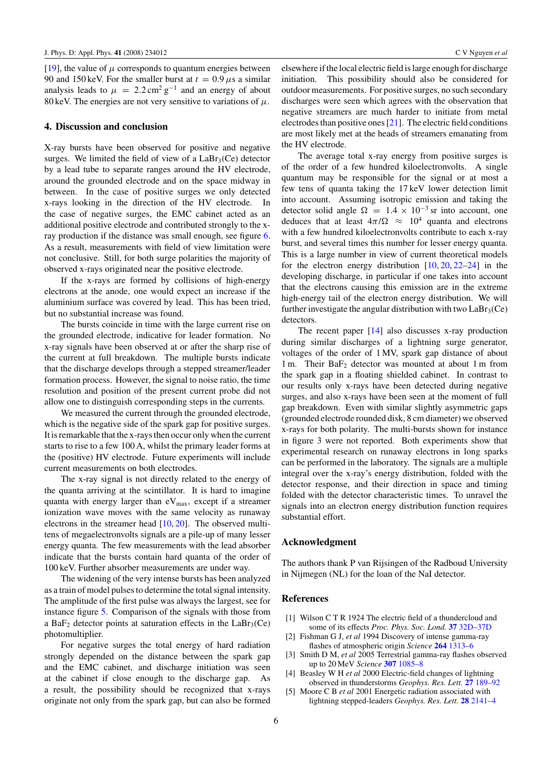<span id="page-5-0"></span>[\[19\]](#page-6-0), the value of  $\mu$  corresponds to quantum energies between 90 and 150 keV. For the smaller burst at  $t = 0.9 \,\mu s$  a similar analysis leads to  $\mu = 2.2 \text{ cm}^2 \text{ g}^{-1}$  and an energy of about 80 keV. The energies are not very sensitive to variations of  $\mu$ .

## **4. Discussion and conclusion**

X-ray bursts have been observed for positive and negative surges. We limited the field of view of a  $LaBr<sub>3</sub>(Ce)$  detector by a lead tube to separate ranges around the HV electrode, around the grounded electrode and on the space midway in between. In the case of positive surges we only detected x-rays looking in the direction of the HV electrode. In the case of negative surges, the EMC cabinet acted as an additional positive electrode and contributed strongly to the xray production if the distance was small enough, see figure [6.](#page-4-0) As a result, measurements with field of view limitation were not conclusive. Still, for both surge polarities the majority of observed x-rays originated near the positive electrode.

If the x-rays are formed by collisions of high-energy electrons at the anode, one would expect an increase if the aluminium surface was covered by lead. This has been tried, but no substantial increase was found.

The bursts coincide in time with the large current rise on the grounded electrode, indicative for leader formation. No x-ray signals have been observed at or after the sharp rise of the current at full breakdown. The multiple bursts indicate that the discharge develops through a stepped streamer/leader formation process. However, the signal to noise ratio, the time resolution and position of the present current probe did not allow one to distinguish corresponding steps in the currents.

We measured the current through the grounded electrode, which is the negative side of the spark gap for positive surges. It is remarkable that the x-rays then occur only when the current starts to rise to a few 100 A, whilst the primary leader forms at the (positive) HV electrode. Future experiments will include current measurements on both electrodes.

The x-ray signal is not directly related to the energy of the quanta arriving at the scintillator. It is hard to imagine quanta with energy larger than  $eV_{\text{max}}$ , except if a streamer ionization wave moves with the same velocity as runaway electrons in the streamer head [\[10,](#page-6-0) [20\]](#page-6-0). The observed multitens of megaelectronvolts signals are a pile-up of many lesser energy quanta. The few measurements with the lead absorber indicate that the bursts contain hard quanta of the order of 100 keV. Further absorber measurements are under way.

The widening of the very intense bursts has been analyzed as a train of model pulses to determine the total signal intensity. The amplitude of the first pulse was always the largest, see for instance figure [5.](#page-3-0) Comparison of the signals with those from a BaF<sub>2</sub> detector points at saturation effects in the LaBr<sub>3</sub>(Ce) photomultiplier.

For negative surges the total energy of hard radiation strongly depended on the distance between the spark gap and the EMC cabinet, and discharge initiation was seen at the cabinet if close enough to the discharge gap. As a result, the possibility should be recognized that x-rays originate not only from the spark gap, but can also be formed elsewhere if the local electric field is large enough for discharge initiation. This possibility should also be considered for outdoor measurements. For positive surges, no such secondary discharges were seen which agrees with the observation that negative streamers are much harder to initiate from metal electrodes than positive ones [\[21\]](#page-6-0). The electric field conditions are most likely met at the heads of streamers emanating from the HV electrode.

The average total x-ray energy from positive surges is of the order of a few hundred kiloelectronvolts. A single quantum may be responsible for the signal or at most a few tens of quanta taking the 17 keV lower detection limit into account. Assuming isotropic emission and taking the detector solid angle  $\Omega = 1.4 \times 10^{-3}$  sr into account, one deduces that at least  $4\pi/\Omega \approx 10^4$  quanta and electrons with a few hundred kiloelectronvolts contribute to each x-ray burst, and several times this number for lesser energy quanta. This is a large number in view of current theoretical models for the electron energy distribution  $[10, 20, 22-24]$  $[10, 20, 22-24]$  $[10, 20, 22-24]$  $[10, 20, 22-24]$  in the developing discharge, in particular if one takes into account that the electrons causing this emission are in the extreme high-energy tail of the electron energy distribution. We will further investigate the angular distribution with two  $LaBr<sub>3</sub>(Ce)$ detectors.

The recent paper  $[14]$  also discusses x-ray production during similar discharges of a lightning surge generator, voltages of the order of 1 MV, spark gap distance of about 1 m. Their  $BaF<sub>2</sub>$  detector was mounted at about 1 m from the spark gap in a floating shielded cabinet. In contrast to our results only x-rays have been detected during negative surges, and also x-rays have been seen at the moment of full gap breakdown. Even with similar slightly asymmetric gaps (grounded electrode rounded disk, 8 cm diameter) we observed x-rays for both polarity. The multi-bursts shown for instance in figure 3 were not reported. Both experiments show that experimental research on runaway electrons in long sparks can be performed in the laboratory. The signals are a multiple integral over the x-ray's energy distribution, folded with the detector response, and their direction in space and timing folded with the detector characteristic times. To unravel the signals into an electron energy distribution function requires substantial effort.

## **Acknowledgment**

The authors thank P van Rijsingen of the Radboud University in Nijmegen (NL) for the loan of the NaI detector.

## **References**

- [1] Wilson C T R 1924 The electric field of a thundercloud and some of its effects *Proc. Phys. Soc. Lond.* **37** [32D–37D](http://dx.doi.org/10.1088/1478-7814/37/1/314)
- [2] Fishman G J, *et al* 1994 Discovery of intense gamma-ray flashes of atmospheric origin *Science* **264** [1313–6](http://dx.doi.org/10.1126/science.264.5163.1313)
- [3] Smith D M, *et al* 2005 Terrestrial gamma-ray flashes observed up to 20 MeV *Science* **307** [1085–8](http://dx.doi.org/10.1126/science.1107466)
- [4] Beasley W H *et al* 2000 Electric-field changes of lightning observed in thunderstorms *Geophys. Res. Lett.* **27** [189–92](http://dx.doi.org/10.1029/1999GL010850)
- [5] Moore C B *et al* 2001 Energetic radiation associated with lightning stepped-leaders *Geophys. Res. Lett.* **28** [2141–4](http://dx.doi.org/10.1029/2001GL013140)